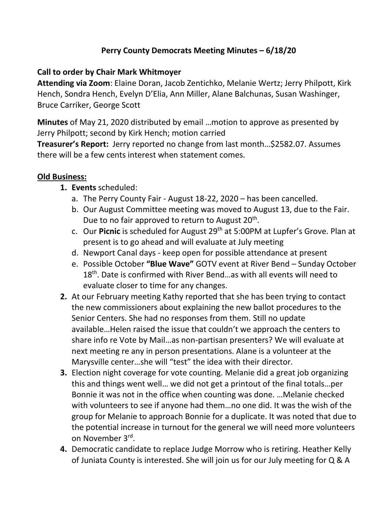# **Perry County Democrats Meeting Minutes – 6/18/20**

#### **Call to order by Chair Mark Whitmoyer**

**Attending via Zoom**: Elaine Doran, Jacob Zentichko, Melanie Wertz; Jerry Philpott, Kirk Hench, Sondra Hench, Evelyn D'Elia, Ann Miller, Alane Balchunas, Susan Washinger, Bruce Carriker, George Scott

**Minutes** of May 21, 2020 distributed by email …motion to approve as presented by Jerry Philpott; second by Kirk Hench; motion carried

**Treasurer's Report:** Jerry reported no change from last month…\$2582.07. Assumes there will be a few cents interest when statement comes.

### **Old Business:**

- **1. Events** scheduled:
	- a. The Perry County Fair August 18-22, 2020 has been cancelled.
	- b. Our August Committee meeting was moved to August 13, due to the Fair. Due to no fair approved to return to August 20<sup>th</sup>.
	- c. Our **Picnic** is scheduled for August 29th at 5:00PM at Lupfer's Grove. Plan at present is to go ahead and will evaluate at July meeting
	- d. Newport Canal days keep open for possible attendance at present
	- e. Possible October **"Blue Wave"** GOTV event at River Bend Sunday October 18<sup>th</sup>. Date is confirmed with River Bend...as with all events will need to evaluate closer to time for any changes.
- **2.** At our February meeting Kathy reported that she has been trying to contact the new commissioners about explaining the new ballot procedures to the Senior Centers. She had no responses from them. Still no update available…Helen raised the issue that couldn't we approach the centers to share info re Vote by Mail…as non-partisan presenters? We will evaluate at next meeting re any in person presentations. Alane is a volunteer at the Marysville center…she will "test" the idea with their director.
- **3.** Election night coverage for vote counting. Melanie did a great job organizing this and things went well… we did not get a printout of the final totals…per Bonnie it was not in the office when counting was done. …Melanie checked with volunteers to see if anyone had them…no one did. It was the wish of the group for Melanie to approach Bonnie for a duplicate. It was noted that due to the potential increase in turnout for the general we will need more volunteers on November 3<sup>rd</sup>.
- **4.** Democratic candidate to replace Judge Morrow who is retiring. Heather Kelly of Juniata County is interested. She will join us for our July meeting for Q & A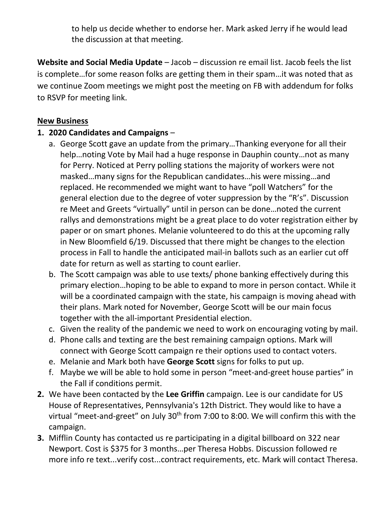to help us decide whether to endorse her. Mark asked Jerry if he would lead the discussion at that meeting.

**Website and Social Media Update** – Jacob – discussion re email list. Jacob feels the list is complete…for some reason folks are getting them in their spam…it was noted that as we continue Zoom meetings we might post the meeting on FB with addendum for folks to RSVP for meeting link.

### **New Business**

# **1. 2020 Candidates and Campaigns** –

- a. George Scott gave an update from the primary…Thanking everyone for all their help…noting Vote by Mail had a huge response in Dauphin county…not as many for Perry. Noticed at Perry polling stations the majority of workers were not masked…many signs for the Republican candidates…his were missing…and replaced. He recommended we might want to have "poll Watchers" for the general election due to the degree of voter suppression by the "R's". Discussion re Meet and Greets "virtually" until in person can be done…noted the current rallys and demonstrations might be a great place to do voter registration either by paper or on smart phones. Melanie volunteered to do this at the upcoming rally in New Bloomfield 6/19. Discussed that there might be changes to the election process in Fall to handle the anticipated mail-in ballots such as an earlier cut off date for return as well as starting to count earlier.
- b. The Scott campaign was able to use texts/ phone banking effectively during this primary election…hoping to be able to expand to more in person contact. While it will be a coordinated campaign with the state, his campaign is moving ahead with their plans. Mark noted for November, George Scott will be our main focus together with the all-important Presidential election.
- c. Given the reality of the pandemic we need to work on encouraging voting by mail.
- d. Phone calls and texting are the best remaining campaign options. Mark will connect with George Scott campaign re their options used to contact voters.
- e. Melanie and Mark both have **George Scott** signs for folks to put up.
- f. Maybe we will be able to hold some in person "meet-and-greet house parties" in the Fall if conditions permit.
- **2.** We have been contacted by the **Lee Griffin** campaign. Lee is our candidate for US House of Representatives, Pennsylvania's 12th District. They would like to have a virtual "meet-and-greet" on July 30<sup>th</sup> from 7:00 to 8:00. We will confirm this with the campaign.
- **3.** Mifflin County has contacted us re participating in a digital billboard on 322 near Newport. Cost is \$375 for 3 months…per Theresa Hobbs. Discussion followed re more info re text...verify cost...contract requirements, etc. Mark will contact Theresa.